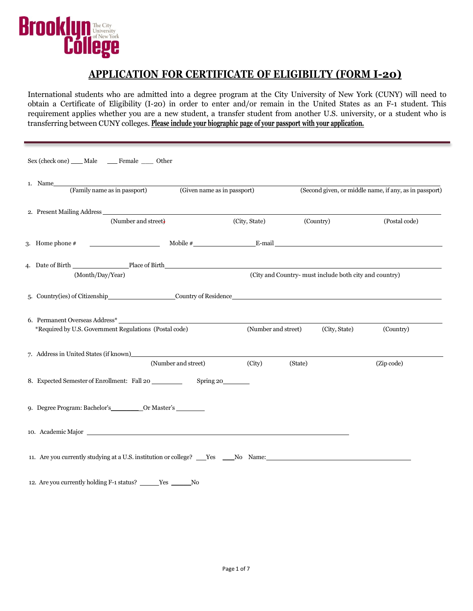

## **APPLICATION FOR CERTIFICATE OF ELIGIBILTY (FORM I-20)**

International students who are admitted into a degree program at the City University of New York (CUNY) will need to obtain a Certificate of Eligibility (I-20) in order to enter and/or remain in the United States as an F-1 student. This requirement applies whether you are a new student, a transfer student from another U.S. university, or a student who is transferring between CUNY colleges. **Please include your biographic page of your passport with your application.**

| Sex (check one) Male Female Other                                                                                                                                                                                                                 |                             |                     |                                                        |                                                        |
|---------------------------------------------------------------------------------------------------------------------------------------------------------------------------------------------------------------------------------------------------|-----------------------------|---------------------|--------------------------------------------------------|--------------------------------------------------------|
| 1. Name<br>(Family name as in passport)                                                                                                                                                                                                           | (Given name as in passport) |                     |                                                        | (Second given, or middle name, if any, as in passport) |
| (Number and street)                                                                                                                                                                                                                               |                             | (City, State)       | (Country)                                              | (Postal code)                                          |
| $\overline{\phantom{a}}$ Mobile # $\overline{\phantom{a}}$ Mobile # $\overline{\phantom{a}}$ E-mail<br>3. Home phone $#$                                                                                                                          |                             |                     |                                                        |                                                        |
| 4. Date of Birth Place of Birth Place of Birth Place of Birth Place and Place of Birth Place of Birth Place of Birth Place of Birth Place of Birth Place of Birth Place of Birth Place of Birth Place of Birth Place of Birth<br>(Month/Day/Year) |                             |                     | (City and Country- must include both city and country) |                                                        |
| 5. Country(ies) of Citizenship Country of Residence Country of Residence                                                                                                                                                                          |                             |                     |                                                        |                                                        |
| 6. Permanent Overseas Address*<br>*Required by U.S. Government Regulations (Postal code)                                                                                                                                                          |                             | (Number and street) | (City, State)                                          | (Country)                                              |
|                                                                                                                                                                                                                                                   | (Number and street)         | (City)              | (State)                                                | (Zip code)                                             |
| 8. Expected Semester of Enrollment: Fall 20                                                                                                                                                                                                       | Spring 20                   |                     |                                                        |                                                        |
|                                                                                                                                                                                                                                                   |                             |                     |                                                        |                                                        |
|                                                                                                                                                                                                                                                   |                             |                     |                                                        |                                                        |
| 11. Are you currently studying at a U.S. institution or college? The No Name:                                                                                                                                                                     |                             |                     |                                                        |                                                        |
| 12. Are you currently holding F-1 status? ______Yes ______No                                                                                                                                                                                      |                             |                     |                                                        |                                                        |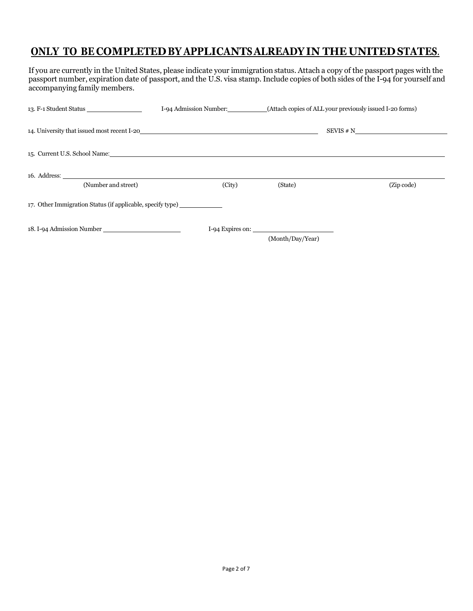# **ONLY TO BE COMPLETED BY APPLICANTS ALREADY IN THE UNITED STATES**.

If you are currently in the United States, please indicate your immigration status. Attach a copy of the passport pages with the passport number, expiration date of passport, and the U.S. visa stamp. Include copies of both sides of the I-94 for yourself and accompanying family members.

|                                                                                                                                                                                                                                | I-94 Admission Number: |                                        | (Attach copies of ALL your previously issued I-20 forms) |
|--------------------------------------------------------------------------------------------------------------------------------------------------------------------------------------------------------------------------------|------------------------|----------------------------------------|----------------------------------------------------------|
|                                                                                                                                                                                                                                |                        |                                        | SEVIS # N                                                |
| 15. Current U.S. School Name: 2008 Contract the Contract of the Contract of the Contract of the Contract of the Contract of the Contract of the Contract of the Contract of the Contract of the Contract of the Contract of th |                        |                                        |                                                          |
| (Number and street)                                                                                                                                                                                                            | (City)                 | (State)                                | (Zip code)                                               |
| 17. Other Immigration Status (if applicable, specify type)                                                                                                                                                                     |                        |                                        |                                                          |
| 18. I-94 Admission Number                                                                                                                                                                                                      |                        | $I-94$ Expires on:<br>(Month/Day/Year) |                                                          |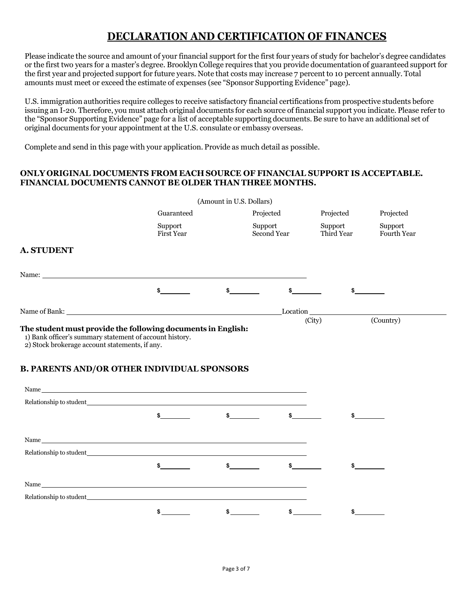# **DECLARATION AND CERTIFICATION OF FINANCES**

Please indicate the source and amount of your financial support for the first four years of study for bachelor's degree candidates or the first two years for a master's degree. Brooklyn College requires that you provide documentation of guaranteed support for the first year and projected support for future years. Note that costs may increase 7 percent to 10 percent annually. Total amounts must meet or exceed the estimate of expenses (see "Sponsor Supporting Evidence" page).

U.S. immigration authorities require colleges to receive satisfactory financial certifications from prospective students before issuing an I-20. Therefore, you must attach original documents for each source of financial support you indicate. Please refer to the "Sponsor Supporting Evidence" page for a list of acceptable supporting documents. Be sure to have an additional set of original documents for your appointment at the U.S. consulate or embassy overseas.

Complete and send in this page with your application. Provide as much detail as possible.

### **ONLY ORIGINAL DOCUMENTS FROM EACH SOURCE OF FINANCIAL SUPPORT IS ACCEPTABLE. FINANCIAL DOCUMENTS CANNOT BE OLDER THAN THREE MONTHS.**

|                                                                                                                                                                                                                                 |                              | (Amount in U.S. Dollars) |                        |                       |                               |
|---------------------------------------------------------------------------------------------------------------------------------------------------------------------------------------------------------------------------------|------------------------------|--------------------------|------------------------|-----------------------|-------------------------------|
|                                                                                                                                                                                                                                 | Guaranteed                   |                          | Projected              | Projected             | Projected                     |
|                                                                                                                                                                                                                                 | Support<br><b>First Year</b> |                          | Support<br>Second Year | Support<br>Third Year | Support<br><b>Fourth Year</b> |
| <b>A. STUDENT</b>                                                                                                                                                                                                               |                              |                          |                        |                       |                               |
| Name: Name and the second state of the second state of the second state of the second state of the second state of the second state of the second state of the second state of the second state of the second state of the sec  |                              |                          |                        |                       |                               |
|                                                                                                                                                                                                                                 | \$                           |                          |                        |                       |                               |
|                                                                                                                                                                                                                                 |                              |                          |                        | Location Location     | (Country)                     |
| The student must provide the following documents in English:<br>1) Bank officer's summary statement of account history.<br>2) Stock brokerage account statements, if any.<br><b>B. PARENTS AND/OR OTHER INDIVIDUAL SPONSORS</b> |                              |                          |                        |                       |                               |
| Name                                                                                                                                                                                                                            |                              |                          |                        |                       |                               |
| Relationship to student the contract of the contract of the contract of the contract of the contract of the contract of the contract of the contract of the contract of the contract of the contract of the contract of the co  |                              |                          |                        |                       |                               |
|                                                                                                                                                                                                                                 |                              |                          |                        |                       |                               |
|                                                                                                                                                                                                                                 |                              |                          |                        |                       |                               |
| Relationship to student                                                                                                                                                                                                         |                              |                          |                        |                       |                               |

**\$ \$ \$ \$**  Name Relationship to student **\$ \$ \$ \$**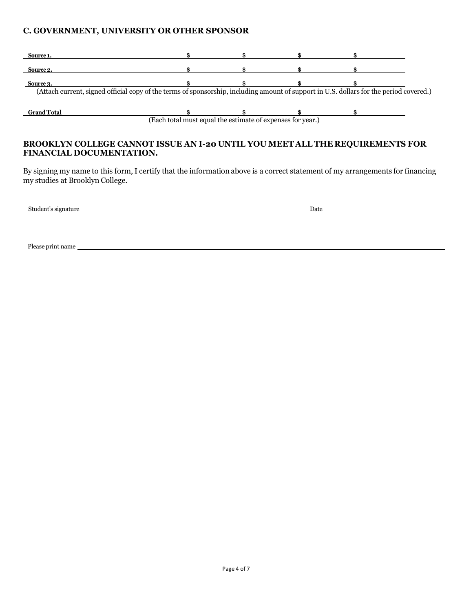### **C. GOVERNMENT, UNIVERSITY OR OTHER SPONSOR**

| Source 1.                                                                                                                               |  |  |  |  |  |
|-----------------------------------------------------------------------------------------------------------------------------------------|--|--|--|--|--|
|                                                                                                                                         |  |  |  |  |  |
| Source 2.                                                                                                                               |  |  |  |  |  |
|                                                                                                                                         |  |  |  |  |  |
| Source 3.                                                                                                                               |  |  |  |  |  |
| (Attach current, signed official copy of the terms of sponsorship, including amount of support in U.S. dollars for the period covered.) |  |  |  |  |  |
|                                                                                                                                         |  |  |  |  |  |
|                                                                                                                                         |  |  |  |  |  |
| <b>Grand Total</b>                                                                                                                      |  |  |  |  |  |
| (Each total must equal the estimate of expenses for year.)                                                                              |  |  |  |  |  |

## **BROOKLYN COLLEGE CANNOT ISSUE AN I-20 UNTIL YOU MEET ALL THE REQUIREMENTS FOR FINANCIAL DOCUMENTATION.**

By signing my name to this form, I certify that the information above is a correct statement of my arrangements for financing my studies at Brooklyn College.

| Stude<br>3.334<br>910 | Dat |
|-----------------------|-----|
|                       |     |

Please print name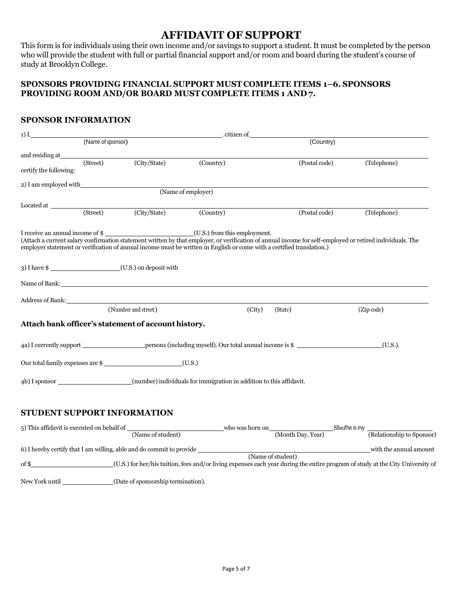# **AFFIDAVIT OF SUPPORT**

This form is for individuals using their own income and/or savings to support a student. It must be completed by the person who will provide the student with full or partial financial support and/or room and board during the student's course of study at Brooklyn College.

### **SPONSORS PROVIDING FINANCIAL SUPPORT MUST COMPLETE ITEMS 1–6. SPONSORS PROVIDING ROOM AND/OR BOARD MUST COMPLETE ITEMS 1 AND 7.**

## **SPONSOR INFORMATION**

| $1)$ I,                                                                                                                                                                                                                        |                   |                                                     | , citizen of,                                                                                                         |                   |               |             |
|--------------------------------------------------------------------------------------------------------------------------------------------------------------------------------------------------------------------------------|-------------------|-----------------------------------------------------|-----------------------------------------------------------------------------------------------------------------------|-------------------|---------------|-------------|
|                                                                                                                                                                                                                                | (Name of sponsor) |                                                     |                                                                                                                       |                   | (Country)     |             |
| and residing at the same state of the same state of the same state of the same state of the same state of the same state of the same state of the same state of the same state of the same state of the same state of the same |                   |                                                     |                                                                                                                       |                   |               |             |
| certify the following:                                                                                                                                                                                                         | (Street)          | (City/State)                                        | (Country)                                                                                                             |                   | (Postal code) | (Telephone) |
|                                                                                                                                                                                                                                |                   | 2) I am employed with                               | (Name of employer)                                                                                                    |                   |               |             |
|                                                                                                                                                                                                                                |                   |                                                     |                                                                                                                       |                   |               |             |
|                                                                                                                                                                                                                                |                   | (City/State) (Country)                              |                                                                                                                       |                   | (Postal code) | (Telephone) |
|                                                                                                                                                                                                                                |                   |                                                     | employer statement or verification of annual income must be written in English or come with a certified translation.) |                   |               |             |
|                                                                                                                                                                                                                                |                   | 3) I have \$ (U.S.) on deposit with                 |                                                                                                                       |                   |               |             |
|                                                                                                                                                                                                                                |                   |                                                     |                                                                                                                       |                   |               |             |
|                                                                                                                                                                                                                                |                   | Address of Bank:                                    |                                                                                                                       |                   |               |             |
|                                                                                                                                                                                                                                |                   | (Number and street)                                 |                                                                                                                       | (City)<br>(State) |               | (Zip code)  |
|                                                                                                                                                                                                                                |                   | Attach bank officer's statement of account history. |                                                                                                                       |                   |               |             |
|                                                                                                                                                                                                                                |                   |                                                     |                                                                                                                       |                   |               | (U.S.).     |
|                                                                                                                                                                                                                                |                   |                                                     |                                                                                                                       |                   |               |             |
|                                                                                                                                                                                                                                |                   |                                                     | 4b) I sponsor (number) individuals for immigration in addition to this affidavit.                                     |                   |               |             |
|                                                                                                                                                                                                                                |                   |                                                     |                                                                                                                       |                   |               |             |
| <b>STUDENT SUPPORT INFORMATION</b>                                                                                                                                                                                             |                   |                                                     |                                                                                                                       |                   |               |             |

| 5) This affidavit is executed on behalf of                           |                                                                                                                                | who was born on |                   | She/he is my |                           |
|----------------------------------------------------------------------|--------------------------------------------------------------------------------------------------------------------------------|-----------------|-------------------|--------------|---------------------------|
|                                                                      | (Name of student)                                                                                                              |                 | (Month Day, Year) |              | (Relationship to Sponsor) |
| 6) I hereby certify that I am willing, able and do commit to provide |                                                                                                                                |                 |                   |              | with the annual amount    |
|                                                                      |                                                                                                                                |                 | (Name of student) |              |                           |
| $\mathrm{of}\,\$$                                                    | (U.S.) for her/his tuition, fees and/or living expenses each year during the entire program of study at the City University of |                 |                   |              |                           |
|                                                                      |                                                                                                                                |                 |                   |              |                           |
| New York until                                                       | (Date of sponsorship termination).                                                                                             |                 |                   |              |                           |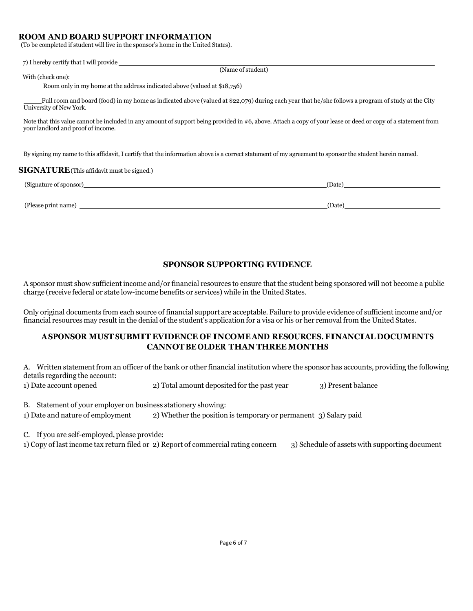### **ROOM AND BOARD SUPPORT INFORMATION**

(To be completed if student will live in the sponsor's home in the United States).

| 7) I hereby certify that I will provide                                                                                                                                                             |        |
|-----------------------------------------------------------------------------------------------------------------------------------------------------------------------------------------------------|--------|
| (Name of student)                                                                                                                                                                                   |        |
| With (check one):                                                                                                                                                                                   |        |
| Room only in my home at the address indicated above (valued at \$18,756)                                                                                                                            |        |
| Full room and board (food) in my home as indicated above (valued at \$22,079) during each year that he/she follows a program of study at the City<br>University of New York.                        |        |
| Note that this value cannot be included in any amount of support being provided in #6, above. Attach a copy of your lease or deed or copy of a statement from<br>your landlord and proof of income. |        |
| By signing my name to this affidavit, I certify that the information above is a correct statement of my agreement to sponsor the student herein named.                                              |        |
| <b>SIGNATURE</b> (This affidavit must be signed.)                                                                                                                                                   |        |
| (Signature of sponsor)                                                                                                                                                                              | (Date) |
| (Please print name)                                                                                                                                                                                 | (Date) |

### **SPONSOR SUPPORTING EVIDENCE**

A sponsor must show sufficient income and/or financial resources to ensure that the student being sponsored will not become a public charge (receive federal or state low-income benefits or services) while in the United States.

Only original documents from each source of financial support are acceptable. Failure to provide evidence of sufficient income and/or financial resources may result in the denial of the student's application for a visa or his or her removal from the United States.

### **ASPONSOR MUSTSUBMIT EVIDENCE OF INCOME AND RESOURCES. FINANCIAL DOCUMENTS CANNOT BE OLDER THAN THREE MONTHS**

A. Written statement from an officer of the bank or other financial institution where the sponsor has accounts, providing the following details regarding the account:

1) Date account opened 2) Total amount deposited for the past year 3) Present balance

B. Statement of your employer on business stationery showing:

1) Date and nature of employment 2) Whether the position is temporary or permanent 3) Salary paid

C. If you are self-employed, please provide:

1) Copy of last income tax return filed or 2) Report of commercial rating concern 3) Schedule of assets with supporting document